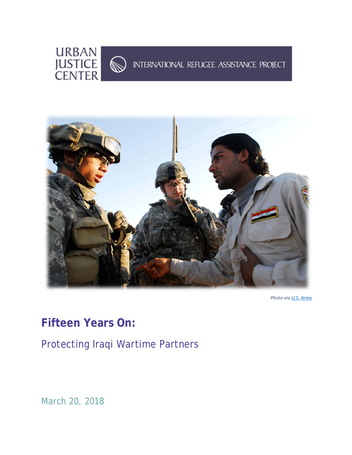



*Photo via [U.S. Army](https://www.flickr.com/photos/soldiersmediacenter/3159780047/in/photostream/)*

# **Fifteen Years On:**

Protecting Iraqi Wartime Partners

*March 20, 2018*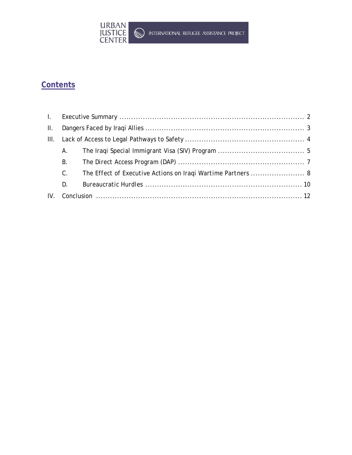

# **Contents**

| $\Pi$ . |             |                                                              |
|---------|-------------|--------------------------------------------------------------|
|         |             |                                                              |
|         | A.          |                                                              |
|         | В.          |                                                              |
|         | $C_{\cdot}$ | The Effect of Executive Actions on Iraqi Wartime Partners  8 |
|         | D.          |                                                              |
| IV.     |             |                                                              |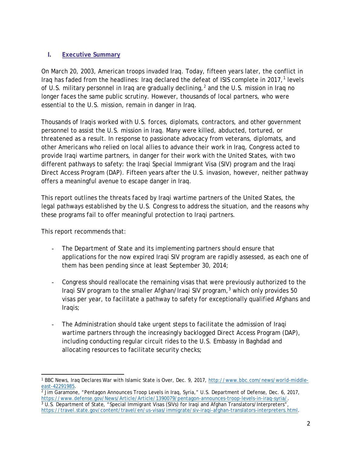# **I. Executive Summary**

On March 20, 2003, American troops invaded Iraq. Today, fifteen years later, the conflict in Iraq has faded from the headlines: Iraq declared the defeat of ISIS complete in 20[1](#page-2-0)7, $<sup>1</sup>$  levels</sup> of U.S. military personnel in Iraq are gradually declining,<sup>[2](#page-2-1)</sup> and the U.S. mission in Iraq no longer faces the same public scrutiny. However, thousands of local partners, who were essential to the U.S. mission, remain in danger in Iraq.

Thousands of Iraqis worked with U.S. forces, diplomats, contractors, and other government personnel to assist the U.S. mission in Iraq. Many were killed, abducted, tortured, or threatened as a result. In response to passionate advocacy from veterans, diplomats, and other Americans who relied on local allies to advance their work in Iraq, Congress acted to provide Iraqi wartime partners, in danger for their work with the United States, with two different pathways to safety: the Iraqi Special Immigrant Visa (SIV) program and the Iraqi Direct Access Program (DAP). Fifteen years after the U.S. invasion, however, neither pathway offers a meaningful avenue to escape danger in Iraq.

This report outlines the threats faced by Iraqi wartime partners of the United States, the legal pathways established by the U.S. Congress to address the situation, and the reasons why these programs fail to offer meaningful protection to Iraqi partners.

This report recommends that:

- The Department of State and its implementing partners should ensure that applications for the now expired Iraqi SIV program are rapidly assessed, as each one of them has been pending since at least September 30, 2014;
- Congress should reallocate the remaining visas that were previously authorized to the Iraqi SIV program to the smaller Afghan/Iraqi SIV program,<sup>[3](#page-2-2)</sup> which only provides 50 visas per year, to facilitate a pathway to safety for exceptionally qualified Afghans and Iraqis;
- The Administration should take urgent steps to facilitate the admission of Iraqi wartime partners through the increasingly backlogged Direct Access Program (DAP), including conducting regular circuit rides to the U.S. Embassy in Baghdad and allocating resources to facilitate security checks;

<span id="page-2-0"></span> $\overline{a}$ <sup>1</sup> BBC News, Iraq Declares War with Islamic State is Over, Dec. 9, 2017, http://www.bbc.com/news/world-middle-east-42291985.

<span id="page-2-2"></span><span id="page-2-1"></span> $\frac{2}{2}$  Jim Garamone, "Pentagon Announces Troop Levels in Iraq, Syria," U.S. Department of Defense, Dec. 6, 2017, https://www.defense.gov/News/Article/Article/1390079/pentagon-announces-troop-levels-in-iraq-syria/.  $\frac{3}{3}$ U.S. Department of State, "Special Immigrant Visas (SIVs) for Iraqi and Afghan Translators/Interpreters", [https://travel.state.gov/content/travel/en/us-visas/immigrate/siv-iraqi-afghan-translators-interpreters.html.](https://travel.state.gov/content/travel/en/us-visas/immigrate/siv-iraqi-afghan-translators-interpreters.html)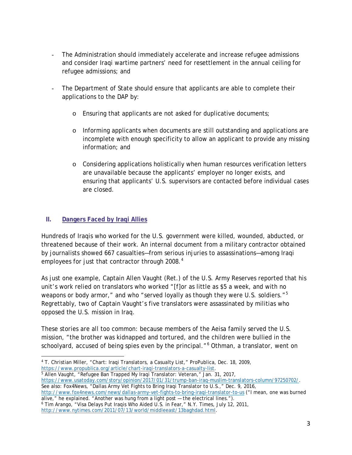- The Administration should immediately accelerate and increase refugee admissions and consider Iraqi wartime partners' need for resettlement in the annual ceiling for refugee admissions; and
- The Department of State should ensure that applicants are able to complete their applications to the DAP by:
	- o Ensuring that applicants are not asked for duplicative documents;
	- o Informing applicants when documents are still outstanding and applications are incomplete with enough specificity to allow an applicant to provide any missing information; and
	- o Considering applications holistically when human resources verification letters are unavailable because the applicants' employer no longer exists, and ensuring that applicants' U.S. supervisors are contacted before individual cases are closed.

# **II. Dangers Faced by Iraqi Allies**

Hundreds of Iraqis who worked for the U.S. government were killed, wounded, abducted, or threatened because of their work. An internal document from a military contractor obtained by journalists showed 667 casualties—from serious injuries to assassinations—among Iraqi employees for just that contractor through 2008.<sup>[4](#page-3-0)</sup>

As just one example, Captain Allen Vaught (Ret.) of the U.S. Army Reserves reported that his unit's work relied on translators who worked "[f]or as little as \$5 a week, and with no weapons or body armor," and who "served loyally as though they were U.S. soldiers."<sup>[5](#page-3-1)</sup> Regrettably, two of Captain Vaught's five translators were assassinated by militias who opposed the U.S. mission in Iraq.

These stories are all too common: because members of the Aeisa family served the U.S. mission, "the brother was kidnapped and tortured, and the children were bullied in the schoolyard, accused of being spies even by the principal."<sup>[6](#page-3-2)</sup> Othman, a translator, went on

<span id="page-3-1"></span>[https://www.usatoday.com/story/opinion/2017/01/31/trump-ban-iraq-muslim-translators-column/97250702/.](https://www.usatoday.com/story/opinion/2017/01/31/trump-ban-iraq-muslim-translators-column/97250702/) See also: Fox4News, "Dallas Army Vet Fights to Bring Iraqi Translator to U.S.," Dec. 9, 2016,

<http://www.fox4news.com/news/dallas-army-vet-fights-to-bring-iraqi-translator-to-us> ("I mean, one was burned alive," he explained. "Another was hung from a light post — the electrical lines.").

<span id="page-3-2"></span><sup>6</sup> Tim Arango, "Visa Delays Put Iraqis Who Aided U.S. in Fear," N.Y. Times, July 12, 2011, [http://www.nytimes.com/2011/07/13/world/middleeast/13baghdad.html.](http://www.nytimes.com/2011/07/13/world/middleeast/13baghdad.html)

<span id="page-3-0"></span> $\overline{a}$ <sup>4</sup> T. Christian Miller, "Chart: Iraqi Translators, a Casualty List," ProPublica, Dec. 18, 2009, [https://www.propublica.org/article/chart-iraqi-translators-a-casualty-list.](https://www.propublica.org/article/chart-iraqi-translators-a-casualty-list) 5 Allen Vaught, "Refugee Ban Trapped My Iraqi Translator: Veteran," Jan. 31, 2017,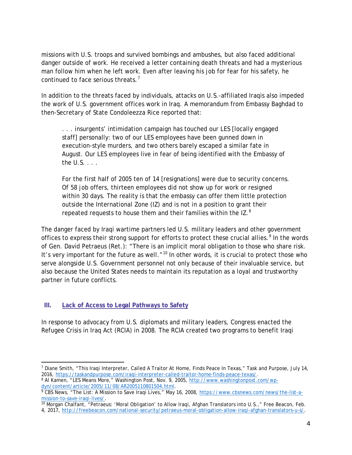missions with U.S. troops and survived bombings and ambushes, but also faced additional danger outside of work. He received a letter containing death threats and had a mysterious man follow him when he left work. Even after leaving his job for fear for his safety, he continued to face serious threats.[7](#page-4-0)

In addition to the threats faced by individuals, attacks on U.S.-affiliated Iraqis also impeded the work of U.S. government offices work in Iraq. A memorandum from Embassy Baghdad to then-Secretary of State Condoleezza Rice reported that:

. . . insurgents' intimidation campaign has touched our LES [locally engaged staff] personally: two of our LES employees have been gunned down in execution-style murders, and two others barely escaped a similar fate in August. Our LES employees live in fear of being identified with the Embassy of the U.S. . . .

For the first half of 2005 ten of 14 [resignations] were due to security concerns. Of 58 job offers, thirteen employees did not show up for work or resigned within 30 days. The reality is that the embassy can offer them little protection outside the International Zone (IZ) and is not in a position to grant their repeated requests to house them and their families within the IZ. $8$ 

The danger faced by Iraqi wartime partners led U.S. military leaders and other government offices to express their strong support for efforts to protect these crucial allies.<sup>[9](#page-4-2)</sup> In the words of Gen. David Petraeus (Ret.): "There is an implicit moral obligation to those who share risk. It's very important for the future as well."<sup>[10](#page-4-3)</sup> In other words, it is crucial to protect those who serve alongside U.S. Government personnel not only because of their invaluable service, but also because the United States needs to maintain its reputation as a loyal and trustworthy partner in future conflicts.

### **III. Lack of Access to Legal Pathways to Safety**

In response to advocacy from U.S. diplomats and military leaders, Congress enacted the Refugee Crisis in Iraq Act (RCIA) in 2008. The RCIA created two programs to benefit Iraqi

<span id="page-4-0"></span> $\overline{a}$ <sup>7</sup> Diane Smith, "This Iraqi Interpreter, Called A Traitor At Home, Finds Peace In Texas," Task and Purpose, July 14, 2016, [https://taskandpurpose.com/iraqi-interpreter-called-traitor-home-finds-peace-texas/.](https://taskandpurpose.com/iraqi-interpreter-called-traitor-home-finds-peace-texas/)

<span id="page-4-1"></span><sup>&</sup>lt;sup>8</sup> Al Kamen, "LES Means More," Washington Post, Nov. 9, 2005, http://www.washingtonpost.com/wp-<br>dyn/content/article/2005/11/08/AR2005110801504.html.

<span id="page-4-2"></span><sup>&</sup>lt;sup>9</sup> CBS News, "The List: A Mission to Save Iraqi Lives," May 16, 2008, [https://www.cbsnews.com/news/the-list-a](https://www.cbsnews.com/news/the-list-a-mission-to-save-iraqi-lives/)[mission-to-save-iraqi-lives/.](https://www.cbsnews.com/news/the-list-a-mission-to-save-iraqi-lives/)<br><sup>10</sup> Morgan Chalfant, "Petraeus: 'Moral Obligation' to Allow Iraqi, Afghan Translators into U.S.," Free Beacon, Feb.

<span id="page-4-3"></span><sup>4, 2017,</sup> [http://freebeacon.com/national-security/petraeus-moral-obligation-allow-iraqi-afghan-translators-u-s/.](http://freebeacon.com/national-security/petraeus-moral-obligation-allow-iraqi-afghan-translators-u-s/)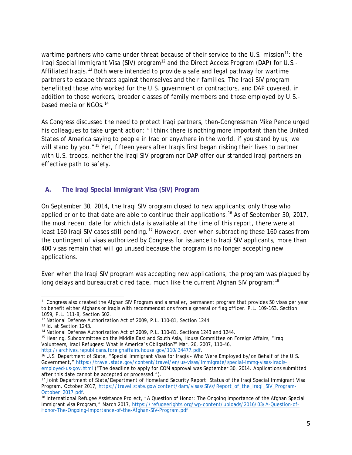wartime partners who came under threat because of their service to the U.S. mission<sup>[11](#page-5-0)</sup>: the Iraqi Special Immigrant Visa (SIV) program<sup>[12](#page-5-1)</sup> and the Direct Access Program (DAP) for U.S.-Affiliated Iraqis.<sup>[13](#page-5-2)</sup> Both were intended to provide a safe and legal pathway for wartime partners to escape threats against themselves and their families. The Iraqi SIV program benefitted those who worked for the U.S. government or contractors, and DAP covered, in addition to those workers, broader classes of family members and those employed by U.S.- based media or NGOs.<sup>[14](#page-5-3)</sup>

As Congress discussed the need to protect Iraqi partners, then-Congressman Mike Pence urged his colleagues to take urgent action: "I think there is nothing more important than the United States of America saying to people in Iraq or anywhere in the world, if you stand by us, we will stand by you."<sup>[15](#page-5-4)</sup> Yet, fifteen years after Iraqis first began risking their lives to partner with U.S. troops, neither the Iraqi SIV program nor DAP offer our stranded Iraqi partners an effective path to safety.

# **A. The Iraqi Special Immigrant Visa (SIV) Program**

On September 30, 2014, the Iraqi SIV program closed to new applicants; only those who applied prior to that date are able to continue their applications.<sup>[16](#page-5-5)</sup> As of September 30, 2017, the most recent date for which data is available at the time of this report, there were at least 160 Iraqi SIV cases still pending.<sup>[17](#page-5-6)</sup> However, even when subtracting these 160 cases from the contingent of visas authorized by Congress for issuance to Iraqi SIV applicants, more than 400 visas remain that will go unused because the program is no longer accepting new applications.

Even when the Iraqi SIV program was accepting new applications, the program was plagued by long delays and bureaucratic red tape, much like the current Afghan SIV program:<sup>[18](#page-5-7)</sup>

<span id="page-5-0"></span> $\overline{a}$ <sup>11</sup> Congress also created the Afghan SIV Program and a smaller, permanent program that provides 50 visas per year to benefit either Afghans or Iraqis with recommendations from a general or flag officer. P.L. 109-163, Section 1059, P.L. 111-8, Section 602.

<span id="page-5-1"></span><sup>12</sup> National Defense Authorization Act of 2009, P.L. 110-81, Section 1244.

<span id="page-5-2"></span><sup>13</sup> Id. at Section 1243.

<sup>&</sup>lt;sup>14</sup> National Defense Authorization Act of 2009, P.L. 110-81, Sections 1243 and 1244.

<span id="page-5-4"></span><span id="page-5-3"></span><sup>15</sup> Hearing, Subcommittee on the Middle East and South Asia, House Committee on Foreign Affairs, "Iraqi Volunteers, Iraqi Refugees: What Is America's Obligation?" Mar. 26, 2007, 110–46,

<span id="page-5-5"></span> $\frac{16}{16}$  U.S. Department of State, "Special Immigrant Visas for Iraqis - Who Were Employed by/on Behalf of the U.S. Government," [https://travel.state.gov/content/travel/en/us-visas/immigrate/special-immg-visas-iraqis](https://travel.state.gov/content/travel/en/us-visas/immigrate/special-immg-visas-iraqis-employed-us-gov.html)[employed-us-gov.html](https://travel.state.gov/content/travel/en/us-visas/immigrate/special-immg-visas-iraqis-employed-us-gov.html) ("The deadline to apply for COM approval was September 30, 2014. Applications submitted after this date cannot be accepted or processed.").

<span id="page-5-6"></span><sup>17</sup> Joint Department of State/Department of Homeland Security Report: Status of the Iraqi Special Immigrant Visa Program, October 2017, https://travel.state.gov/content/dam/visas/SIVs/Report\_of\_the\_Iraqi\_SIV\_Program-October\_2017.pdf.

<span id="page-5-7"></span><sup>&</sup>lt;sup>[18](https://travel.state.gov/content/dam/visas/SIVs/Report_of_the_Iraqi_SIV_Program-October_2017.pdf)</sup> International Refugee Assistance Project, "A Question of Honor: The Ongoing Importance of the Afghan Special Immigrant visa Program," March 2017, [https://refugeerights.org/wp-content/uploads/2016/03/A-Question-of-](https://refugeerights.org/wp-content/uploads/2016/03/A-Question-of-Honor-The-Ongoing-Importance-of-the-Afghan-SIV-Program.pdf)[Honor-The-Ongoing-Importance-of-the-Afghan-SIV-Program.pdf](https://refugeerights.org/wp-content/uploads/2016/03/A-Question-of-Honor-The-Ongoing-Importance-of-the-Afghan-SIV-Program.pdf)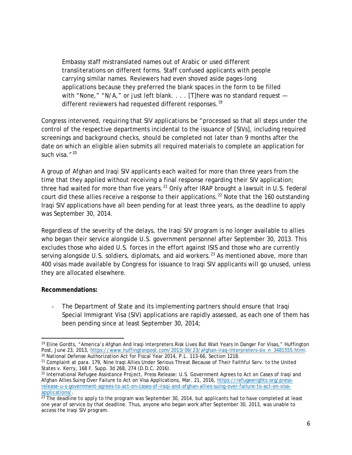Embassy staff mistranslated names out of Arabic or used different transliterations on different forms. Staff confused applicants with people carrying similar names. Reviewers had even shoved aside pages-long applications because they preferred the blank spaces in the form to be filled with "None," "N/A," or just left blank. . . . [T]here was no standard request  $-$ different reviewers had requested different responses.<sup>[19](#page-6-0)</sup>

Congress intervened, requiring that SIV applications be "processed so that all steps under the control of the respective departments incidental to the issuance of [SIVs], including required screenings and background checks, should be completed not later than 9 months after the date on which an eligible alien submits all required materials to complete an application for such visa."<sup>[20](#page-6-1)</sup>

A group of Afghan and Iraqi SIV applicants each waited for more than three years from the time that they applied without receiving a final response regarding their SIV application; three had waited for more than five years.<sup>[21](#page-6-2)</sup> Only after IRAP brought a lawsuit in U.S. federal court did these allies receive a response to their applications.<sup>[22](#page-6-3)</sup> Note that the 160 outstanding Iraqi SIV applications have all been pending for at least three years, as the deadline to apply was September 30, 2014.

Regardless of the severity of the delays, the Iraqi SIV program is no longer available to allies who began their service alongside U.S. government personnel after September 30, 2013. This excludes those who aided U.S. forces in the effort against ISIS and those who are currently serving alongside U.S. soldiers, diplomats, and aid workers.<sup>[23](#page-6-4)</sup> As mentioned above, more than 400 visas made available by Congress for issuance to Iraqi SIV applicants will go unused, unless they are allocated elsewhere.

### **Recommendations:**

The Department of State and its implementing partners should ensure that Iraqi Special Immigrant Visa (SIV) applications are rapidly assessed, as each one of them has been pending since at least September 30, 2014;

<span id="page-6-0"></span> $\overline{a}$ <sup>19</sup> Eline Gordts, "America's Afghan And Iragi Interpreters Risk Lives But Wait Years In Danger For Visas," Huffington Post, June 23, 2013, [https://www.huffingtonpost.com/2013/06/23/afghan-iraq-interpreters-siv\\_n\\_3481555.html.](https://www.huffingtonpost.com/2013/06/23/afghan-iraq-interpreters-siv_n_3481555.html) <sup>20</sup> National Defense Authorization Act for Fiscal Year 2014, P.L. 113-66, Section 1218.

<span id="page-6-2"></span><span id="page-6-1"></span><sup>&</sup>lt;sup>21</sup> Complaint at para. 179, Nine Iraqi Allies Under Serious Threat Because of Their Faithful Serv. to the United States v. Kerry, 168 F. Supp. 3d 268, 274 (D.D.C. 2016).

<span id="page-6-3"></span><sup>22</sup> International Refugee Assistance Project, Press Release: U.S. Government Agrees to Act on Cases of Iraqi and Afghan Allies Suing Over Failure to Act on Visa Applications, Mar. 21, 2016, [https://refugeerights.org/press](https://refugeerights.org/press-release-u-s-government-agrees-to-act-on-cases-of-iraqi-and-afghan-allies-suing-over-failure-to-act-on-visa-applications/)[release-u-s-government-agrees-to-act-on-cases-of-iraqi-and-afghan-allies-suing-over-failure-to-act-on-visa-](https://refugeerights.org/press-release-u-s-government-agrees-to-act-on-cases-of-iraqi-and-afghan-allies-suing-over-failure-to-act-on-visa-applications/)

<span id="page-6-4"></span><sup>&</sup>lt;u>applications/</u>.<br><sup>[23](https://refugeerights.org/press-release-u-s-government-agrees-to-act-on-cases-of-iraqi-and-afghan-allies-suing-over-failure-to-act-on-visa-applications/)</sup> The deadline to apply to the program was September 30, 2014, but applicants had to have completed at least one year of service by that deadline. Thus, anyone who began work after September 30, 2013, was unable to access the Iraqi SIV program.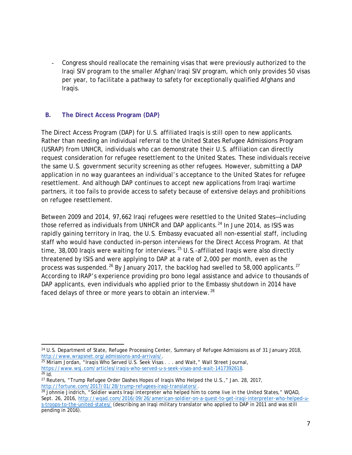Congress should reallocate the remaining visas that were previously authorized to the Iraqi SIV program to the smaller Afghan/Iraqi SIV program, which only provides 50 visas per year, to facilitate a pathway to safety for exceptionally qualified Afghans and Iraqis.

# **B. The Direct Access Program (DAP)**

The Direct Access Program (DAP) for U.S. affiliated Iraqis is still open to new applicants. Rather than needing an individual referral to the United States Refugee Admissions Program (USRAP) from UNHCR, individuals who can demonstrate their U.S. affiliation can directly request consideration for refugee resettlement to the United States. These individuals receive the same U.S. government security screening as other refugees. However, submitting a DAP application in no way guarantees an individual's acceptance to the United States for refugee resettlement. And although DAP continues to accept new applications from Iraqi wartime partners, it too fails to provide access to safety because of extensive delays and prohibitions on refugee resettlement.

Between 2009 and 2014, 97,662 Iraqi refugees were resettled to the United States—including those referred as individuals from UNHCR and DAP applicants.<sup>[24](#page-7-0)</sup> In June 2014, as ISIS was rapidly gaining territory in Iraq, the U.S. Embassy evacuated all non-essential staff, including staff who would have conducted in-person interviews for the Direct Access Program. At that time, 38,000 Iraqis were waiting for interviews.<sup>[25](#page-7-1)</sup> U.S.-affiliated Iraqis were also directly threatened by ISIS and were applying to DAP at a rate of 2,000 per month, even as the process was suspended.<sup>[26](#page-7-2)</sup> By January 2017, the backlog had swelled to 58,000 applicants.<sup>[27](#page-7-3)</sup> According to IRAP's experience providing *pro bono* legal assistance and advice to thousands of DAP applicants, even individuals who applied prior to the Embassy shutdown in 2014 have faced delays of three or more years to obtain an interview.<sup>[28](#page-7-4)</sup>

<span id="page-7-0"></span> $\overline{a}$ <sup>24</sup> U.S. Department of State, Refugee Processing Center, Summary of Refugee Admissions as of 31 January 2018, [http://www.wrapsnet.org/admissions-and-arrivals/.](http://www.wrapsnet.org/admissions-and-arrivals/)

<span id="page-7-1"></span><sup>&</sup>lt;sup>25</sup> Miriam Jordan, "Iraqis Who Served U.S. Seek Visas . . . and Wait," Wall Street Journal, [https://www.wsj.com/articles/iraqis-who-served-u-s-seek-visas-and-wait-1417392618.](https://www.wsj.com/articles/iraqis-who-served-u-s-seek-visas-and-wait-1417392618)<br><sup>26</sup> Id

<span id="page-7-3"></span><span id="page-7-2"></span><sup>&</sup>lt;sup>27</sup> Reuters, "Trump Refugee Order Dashes Hopes of Iraqis Who Helped the U.S.," Jan. 28, 2017, http://fortune.com/2017/01/28/trump-refugees-iraqi-translators/.

<span id="page-7-4"></span> $\frac{1}{28}$  Johnnie Jindrich, "Soldier wants Iraqi interpreter who helped him to come live in the United States," WQAD, Sept. 26, 2016, [http://wqad.com/2016/09/26/american-soldier-on-a-quest-to-get-iraqi-interpreter-who-helped-u](http://wqad.com/2016/09/26/american-soldier-on-a-quest-to-get-iraqi-interpreter-who-helped-u-s-troops-to-the-united-states/)[s-troops-to-the-united-states/](http://wqad.com/2016/09/26/american-soldier-on-a-quest-to-get-iraqi-interpreter-who-helped-u-s-troops-to-the-united-states/) (describing an Iraqi military translator who applied to DAP in 2011 and was still pending in 2016).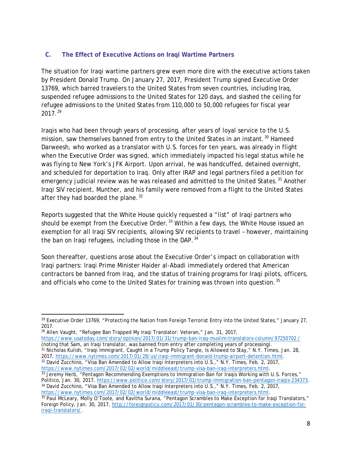# **C. The Effect of Executive Actions on Iraqi Wartime Partners**

The situation for Iraqi wartime partners grew even more dire with the executive actions taken by President Donald Trump. On January 27, 2017, President Trump signed Executive Order 13769, which barred travelers to the United States from seven countries, including Iraq, suspended refugee admissions to the United States for 120 days, and slashed the ceiling for refugee admissions to the United States from 110,000 to 50,000 refugees for fiscal year  $2017.<sup>29</sup>$  $2017.<sup>29</sup>$  $2017.<sup>29</sup>$ 

Iraqis who had been through years of processing, after years of loyal service to the U.S. mission, saw themselves banned from entry to the United States in an instant.<sup>[30](#page-8-1)</sup> Hameed Darweesh, who worked as a translator with U.S. forces for ten years, was already in flight when the Executive Order was signed, which immediately impacted his legal status while he was flying to New York's JFK Airport. Upon arrival, he was handcuffed, detained overnight, and scheduled for deportation to Iraq. Only after IRAP and legal partners filed a petition for emergency judicial review was he was released and admitted to the United States.<sup>[31](#page-8-2)</sup> Another Iraqi SIV recipient, Munther, and his family were removed from a flight to the United States after they had boarded the plane.  $32$ 

Reports suggested that the White House quickly requested a "list" of Iraqi partners who should be exempt from the Executive Order.<sup>[33](#page-8-4)</sup> Within a few days, the White House issued an exemption for all Iraqi SIV recipients, allowing SIV recipients to travel – however, maintaining the ban on Iraqi refugees, including those in the DAP.<sup>[34](#page-8-5)</sup>

Soon thereafter, questions arose about the Executive Order's impact on collaboration with Iraqi partners: Iraqi Prime Minister Haider al-Abadi immediately ordered that American contractors be banned from Iraq, and the status of training programs for Iraqi pilots, officers, and officials who come to the United States for training was thrown into question.<sup>[35](#page-8-6)</sup>

<sup>30</sup> Allen Vaught, "Refugee Ban Trapped My Iraqi Translator: Veteran," Jan. 31, 2017,

<span id="page-8-2"></span><span id="page-8-1"></span>[https://www.usatoday.com/story/opinion/2017/01/31/trump-ban-iraq-muslim-translators-column/97250702 /](https://www.usatoday.com/story/opinion/2017/01/31/trump-ban-iraq-muslim-translators-column/97250702%20/) (noting that Sam, an Iraqi translator, was banned from entry after completing years of processing). <sup>31</sup> Nicholas Kulish, "Iraqi Immigrant, Caught in a Trump Policy Tangle, Is Allowed to Stay," N.Y. Times, Jan. 28, 2017, [https://www.nytimes.com/2017/01/28/us/iraqi-immigrant-donald-trump-airport-detention.html.](https://www.nytimes.com/2017/01/28/us/iraqi-immigrant-donald-trump-airport-detention.html)<br><sup>32</sup> David Zucchino, "Visa Ban Amended to Allow Iraqi Interpreters into U.S.," N.Y. Times, Feb. 2, 2017,

<span id="page-8-4"></span><span id="page-8-3"></span>[https://www.nytimes.com/2017/02/02/world/middleeast/trump-visa-ban-iraq-interpreters.html.](https://www.nytimes.com/2017/02/02/world/middleeast/trump-visa-ban-iraq-interpreters.html)<br><sup>33</sup> Jeremy Herb, "Pentagon Recommending Exemptions to Immigration Ban for Iraqis Working with U.S. Forces,"<br>Politico, Jan. 30, 201 <sup>34</sup> David Zucchino, "Visa Ban Amended to Allow Iraqi Interpreters into U.S.," N.Y. Times, Feb. 2, 2017, https://www.nytimes.com/2017/02/02/world/middleeast/trump-visa-ban-iraq-interpreters.html.

<span id="page-8-0"></span> $\overline{a}$  $29$  Executive Order 13769, "Protecting the Nation from Foreign Terrorist Entry into the United States," January 27, 2017.

<span id="page-8-6"></span><span id="page-8-5"></span>[<sup>35</sup>](https://www.nytimes.com/2017/02/02/world/middleeast/trump-visa-ban-iraq-interpreters.html) Paul McLeary, Molly O'Toole, and Kavitha Surana, "Pentagon Scrambles to Make Exception for Iraqi Translators," Foreign Policy, Jan. 30, 2017, [http://foreignpolicy.com/2017/01/30/pentagon-scrambles-to-make-exception-for](http://foreignpolicy.com/2017/01/30/pentagon-scrambles-to-make-exception-for-iraqi-translators/)[iraqi-translators/.](http://foreignpolicy.com/2017/01/30/pentagon-scrambles-to-make-exception-for-iraqi-translators/)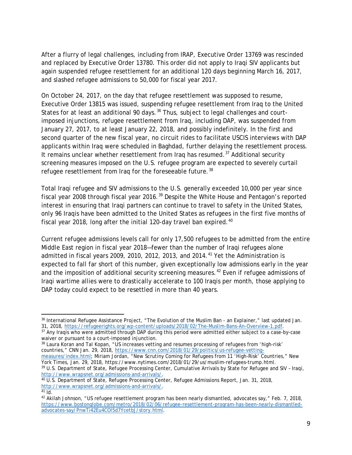After a flurry of legal challenges, including from IRAP, Executive Order 13769 was rescinded and replaced by Executive Order 13780. This order did not apply to Iraqi SIV applicants but again suspended refugee resettlement for an additional 120 days beginning March 16, 2017, and slashed refugee admissions to 50,000 for fiscal year 2017.

On October 24, 2017, on the day that refugee resettlement was supposed to resume, Executive Order 13815 was issued, suspending refugee resettlement from Iraq to the United States for at least an additional 90 days.<sup>[36](#page-9-0)</sup> Thus, subject to legal challenges and courtimposed injunctions, refugee resettlement from Iraq, including DAP, was suspended from January 27, 2017, to at least January 22, 2018, and possibly indefinitely. In the first and second quarter of the new fiscal year, no circuit rides to facilitate USCIS interviews with DAP applicants within Iraq were scheduled in Baghdad, further delaying the resettlement process. It remains unclear whether resettlement from Iraq has resumed.<sup>[37](#page-9-1)</sup> Additional security screening measures imposed on the U.S. refugee program are expected to severely curtail refugee resettlement from Irag for the foreseeable future.<sup>[38](#page-9-2)</sup>

Total Iraqi refugee and SIV admissions to the U.S. generally exceeded 10,000 per year since fiscal year 2008 through fiscal year 2016.<sup>[39](#page-9-3)</sup> Despite the White House and Pentagon's reported interest in ensuring that Iraqi partners can continue to travel to safety in the United States, only 96 Iraqis have been admitted to the United States as refugees in the first five months of fiscal year 2018, long after the initial 120-day travel ban expired. $40$ 

Current refugee admissions levels call for only 17,500 refugees to be admitted from the entire Middle East region in fiscal year 2018—fewer than the number of Iraqi refugees alone admitted in fiscal years 2009, 2010, 2012, 2013, and 2014. $41$  Yet the Administration is expected to fall far short of this number, given exceptionally low admissions early in the year and the imposition of additional security screening measures.<sup>[42](#page-9-6)</sup> Even if refugee admissions of Iraqi wartime allies were to drastically accelerate to 100 Iraqis per month, those applying to DAP today could expect to be resettled in more than 40 years.

<span id="page-9-0"></span> $\overline{a}$ <sup>36</sup> International Refugee Assistance Project, "The Evolution of the Muslim Ban - an Explainer," last updated Jan.<br>31, 2018, https://refugeerights.org/wp-content/uploads/2018/02/The-Muslim-Bans-An-Overview-1.pdf.

<span id="page-9-1"></span><sup>&</sup>lt;sup>37</sup> Any Iraqis who were admitted through DAP during this period were admitted either subject to a case-by-case waiver or pursuant to a court-imposed injunction.

<span id="page-9-2"></span><sup>38</sup> Laura Koran and Tal Kopan, "US increases vetting and resumes processing of refugees from 'high-risk' countries," CNN Jan. 29, 2018, [https://www.cnn.com/2018/01/29/politics/us-refugee-vetting-](https://www.cnn.com/2018/01/29/politics/us-refugee-vetting-measures/index.html)

[measures/index.html;](https://www.cnn.com/2018/01/29/politics/us-refugee-vetting-measures/index.html) Miriam Jordan, "New Scrutiny Coming for Refugees from 11 'High-Risk' Countries," New York Times, Jan. 29, 2018, https://www.nytimes.com/2018/01/29/us/muslim-refugees-trump.html.

<span id="page-9-3"></span><sup>&</sup>lt;sup>39</sup> U.S. Department of State, Refugee Processing Center, Cumulative Arrivals by State for Refugee and SIV - Iraqi, http://www.wrapsnet.org/admissions-and-arrivals/.

<span id="page-9-4"></span> $\overline{40}$  U.S. Department of State, Refugee Processing Center, Refugee Admissions Report, Jan. 31, 2018, [http://www.wrapsnet.org/admissions-and-arrivals/.](http://www.wrapsnet.org/admissions-and-arrivals/)

<span id="page-9-6"></span><span id="page-9-5"></span><sup>&</sup>lt;sup>42</sup> Akilah Johnson, "US refugee resettlement program has been nearly dismantled, advocates say," Feb. 7, 2018, [https://www.bostonglobe.com/metro/2018/02/06/refugee-resettlement-program-has-been-nearly-dismantled](https://www.bostonglobe.com/metro/2018/02/06/refugee-resettlement-program-has-been-nearly-dismantled-advocates-say/PnwTi42Eu4COl5d7YcetbJ/story.html)[advocates-say/PnwTi42Eu4COl5d7YcetbJ/story.html.](https://www.bostonglobe.com/metro/2018/02/06/refugee-resettlement-program-has-been-nearly-dismantled-advocates-say/PnwTi42Eu4COl5d7YcetbJ/story.html)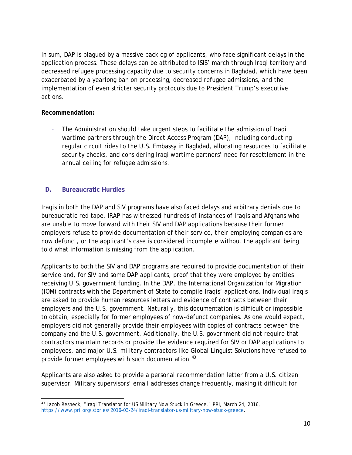In sum, DAP is plagued by a massive backlog of applicants, who face significant delays in the application process. These delays can be attributed to ISIS' march through Iraqi territory and decreased refugee processing capacity due to security concerns in Baghdad, which have been exacerbated by a yearlong ban on processing, decreased refugee admissions, and the implementation of even stricter security protocols due to President Trump's executive actions.

#### **Recommendation:**

The Administration should take urgent steps to facilitate the admission of Iraqi wartime partners through the Direct Access Program (DAP), including conducting regular circuit rides to the U.S. Embassy in Baghdad, allocating resources to facilitate security checks, and considering Iraqi wartime partners' need for resettlement in the annual ceiling for refugee admissions.

### **D. Bureaucratic Hurdles**

Iraqis in both the DAP and SIV programs have also faced delays and arbitrary denials due to bureaucratic red tape. IRAP has witnessed hundreds of instances of Iraqis and Afghans who are unable to move forward with their SIV and DAP applications because their former employers refuse to provide documentation of their service, their employing companies are now defunct, or the applicant's case is considered incomplete without the applicant being told what information is missing from the application.

Applicants to both the SIV and DAP programs are required to provide documentation of their service and, for SIV and some DAP applicants, proof that they were employed by entities receiving U.S. government funding. In the DAP, the International Organization for Migration (IOM) contracts with the Department of State to compile Iraqis' applications. Individual Iraqis are asked to provide human resources letters and evidence of contracts between their employers and the U.S. government. Naturally, this documentation is difficult or impossible to obtain, especially for former employees of now-defunct companies. As one would expect, employers did not generally provide their employees with copies of contracts between the company and the U.S. government. Additionally, the U.S. government did not require that contractors maintain records or provide the evidence required for SIV or DAP applications to employees, and major U.S. military contractors like Global Linguist Solutions have refused to provide former employees with such documentation.<sup>[43](#page-10-0)</sup>

Applicants are also asked to provide a personal recommendation letter from a U.S. citizen supervisor. Military supervisors' email addresses change frequently, making it difficult for

<span id="page-10-0"></span> $\overline{a}$ <sup>43</sup> Jacob Resneck, "Iraqi Translator for US Military Now Stuck in Greece," PRI, March 24, 2016, [https://www.pri.org/stories/2016-03-24/iraqi-translator-us-military-now-stuck-greece.](https://www.pri.org/stories/2016-03-24/iraqi-translator-us-military-now-stuck-greece)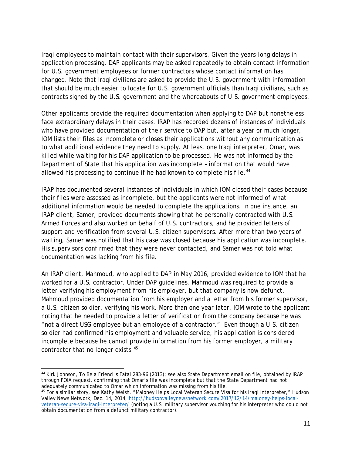Iraqi employees to maintain contact with their supervisors. Given the years-long delays in application processing, DAP applicants may be asked repeatedly to obtain contact information for U.S. government employees or former contractors whose contact information has changed. Note that Iraqi civilians are asked to provide the U.S. government with information that should be much easier to locate for U.S. government officials than Iraqi civilians, such as contracts signed by the U.S. government and the whereabouts of U.S. government employees.

Other applicants provide the required documentation when applying to DAP but nonetheless face extraordinary delays in their cases. IRAP has recorded dozens of instances of individuals who have provided documentation of their service to DAP but, after a year or much longer, IOM lists their files as incomplete or closes their applications without any communication as to what additional evidence they need to supply. At least one Iraqi interpreter, Omar, was killed while waiting for his DAP application to be processed. He was not informed by the Department of State that his application was incomplete – information that would have allowed his processing to continue if he had known to complete his file.<sup>[44](#page-11-0)</sup>

IRAP has documented several instances of individuals in which IOM closed their cases because their files were assessed as incomplete, but the applicants were not informed of what additional information would be needed to complete the applications. In one instance, an IRAP client, Samer, provided documents showing that he personally contracted with U.S. Armed Forces and also worked on behalf of U.S. contractors, and he provided letters of support and verification from several U.S. citizen supervisors. After more than two years of waiting, Samer was notified that his case was closed because his application was incomplete. His supervisors confirmed that they were never contacted, and Samer was not told what documentation was lacking from his file.

An IRAP client, Mahmoud, who applied to DAP in May 2016, provided evidence to IOM that he worked for a U.S. contractor. Under DAP guidelines, Mahmoud was required to provide a letter verifying his employment from his employer, but that company is now defunct. Mahmoud provided documentation from his employer and a letter from his former supervisor, a U.S. citizen soldier, verifying his work. More than one year later, IOM wrote to the applicant noting that he needed to provide a letter of verification from the company because he was "not a direct USG employee but an employee of a contractor." Even though a U.S. citizen soldier had confirmed his employment and valuable service, his application is considered incomplete because he cannot provide information from his former employer, a military contractor that no longer exists.[45](#page-11-1)

<span id="page-11-0"></span> $\overline{a}$ <sup>44</sup> Kirk Johnson, To Be a Friend is Fatal 283-96 (2013); see also State Department email on file, obtained by IRAP through FOIA request, confirming that Omar's file was incomplete but that the State Department had not adequately communicated to Omar which information was missing from his file.

<span id="page-11-1"></span><sup>45</sup> For a similar story, *see* Kathy Welsh, "Maloney Helps Local Veteran Secure Visa for his Iraqi Interpreter," Hudson Valley News Network, Dec. 14, 2014, [http://hudsonvalleynewsnetwork.com/2017/12/14/maloney-helps-local](http://hudsonvalleynewsnetwork.com/2017/12/14/maloney-helps-local-veteran-secure-visa-iraqi-interpreter/)[veteran-secure-visa-iraqi-interpreter/](http://hudsonvalleynewsnetwork.com/2017/12/14/maloney-helps-local-veteran-secure-visa-iraqi-interpreter/) (noting a U.S. military supervisor vouching for his interpreter who could not obtain documentation from a defunct military contractor).